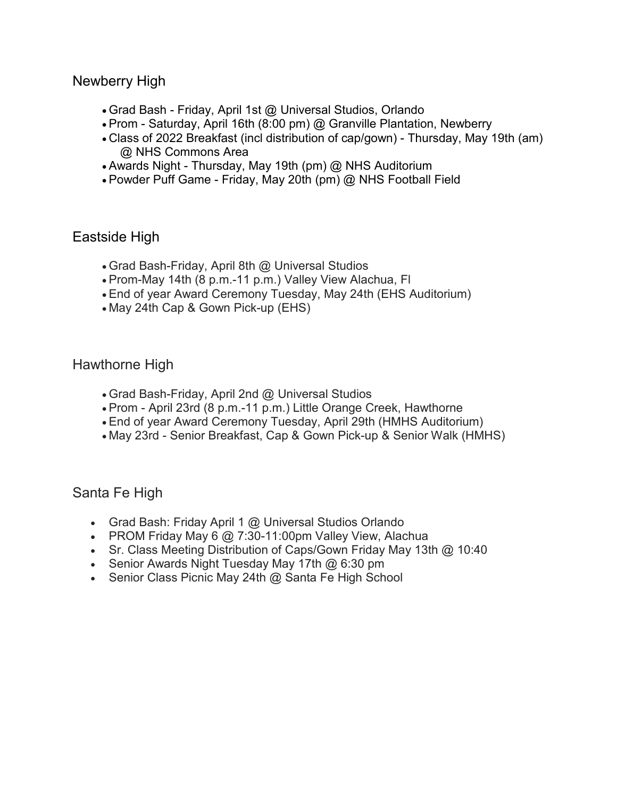Newberry High

- Grad Bash Friday, April 1st @ Universal Studios, Orlando
- Prom Saturday, April 16th (8:00 pm) @ Granville Plantation, Newberry
- Class of 2022 Breakfast (incl distribution of cap/gown) Thursday, May 19th (am) @ NHS Commons Area
- Awards Night Thursday, May 19th (pm) @ NHS Auditorium
- Powder Puff Game Friday, May 20th (pm) @ NHS Football Field

# Eastside High

- Grad Bash-Friday, April 8th @ Universal Studios
- Prom-May 14th (8 p.m.-11 p.m.) Valley View Alachua, Fl
- End of year Award Ceremony Tuesday, May 24th (EHS Auditorium)
- May 24th Cap & Gown Pick-up (EHS)

### Hawthorne High

- Grad Bash-Friday, April 2nd @ Universal Studios
- Prom April 23rd (8 p.m.-11 p.m.) Little Orange Creek, Hawthorne
- End of year Award Ceremony Tuesday, April 29th (HMHS Auditorium)
- May 23rd Senior Breakfast, Cap & Gown Pick-up & Senior Walk (HMHS)

### Santa Fe High

- Grad Bash: Friday April 1 @ Universal Studios Orlando
- PROM Friday May 6 @ 7:30-11:00pm Valley View, Alachua
- Sr. Class Meeting Distribution of Caps/Gown Friday May 13th @ 10:40
- Senior Awards Night Tuesday May 17th @ 6:30 pm
- Senior Class Picnic May 24th @ Santa Fe High School